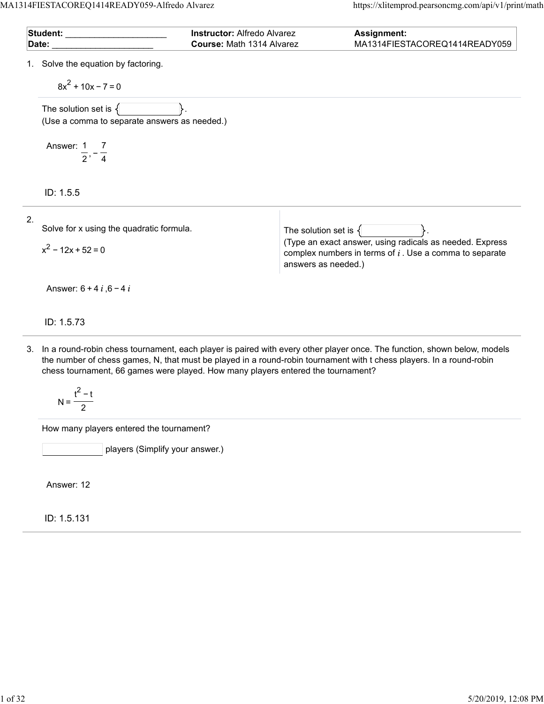MA1314FIESTACOREQ1414READY059-Alfredo Alvarez https://xlitemprod.pearsoncmg.com/api/v1/print/math

| Student: with the state of the state of the state of the state of the state of the state of the state of the s<br>Date: | <b>Instructor: Alfredo Alvarez</b> | Course: Math 1314 Alvarez                       | Assignment:<br>MA1314FIESTACOREQ1414READY059                                                                          |
|-------------------------------------------------------------------------------------------------------------------------|------------------------------------|-------------------------------------------------|-----------------------------------------------------------------------------------------------------------------------|
| 1. Solve the equation by factoring.<br>$8x^2 + 10x - 7 = 0$                                                             |                                    |                                                 |                                                                                                                       |
| The solution set is $\{$<br>(Use a comma to separate answers as needed.)                                                |                                    |                                                 |                                                                                                                       |
| Answer: 1 7<br>$\frac{1}{2}$ , $\frac{1}{4}$                                                                            |                                    |                                                 |                                                                                                                       |
| ID: 1.5.5                                                                                                               |                                    |                                                 |                                                                                                                       |
| 2.<br>Solve for x using the quadratic formula.<br>$x^2$ – 12x + 52 = 0                                                  |                                    | The solution set is $\{$<br>answers as needed.) | (Type an exact answer, using radicals as needed. Express<br>complex numbers in terms of $i$ . Use a comma to separate |
| Answer: $6 + 4i$ , $6 - 4i$                                                                                             |                                    |                                                 |                                                                                                                       |
| ID: 1.5.73                                                                                                              |                                    |                                                 |                                                                                                                       |

3. In a round-robin chess tournament, each player is paired with every other player once. The function, shown below, models the number of chess games, N, that must be played in a round-robin tournament with t chess players. In a round-robin chess tournament, 66 games were played. How many players entered the tournament?

$$
N = \frac{t^2 - t}{2}
$$

How many players entered the tournament?

players (Simplify your answer.)

Answer: 12

ID: 1.5.131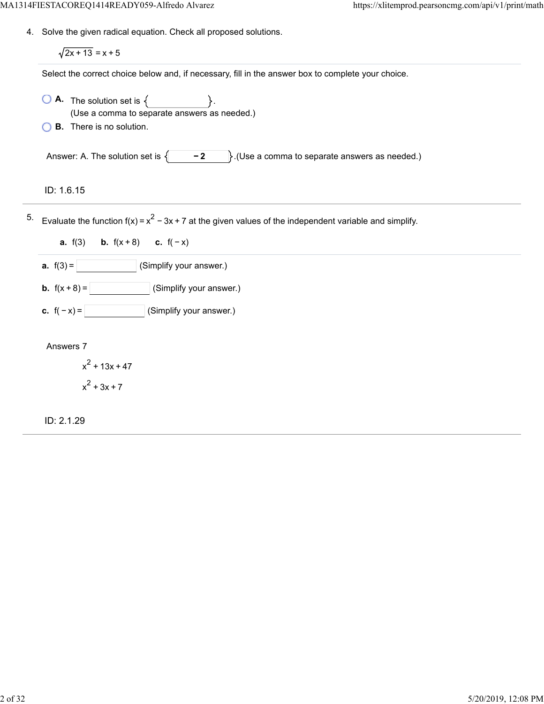4. Solve the given radical equation. Check all proposed solutions.

 $\sqrt{2x + 13} = x + 5$ 

Select the correct choice below and, if necessary, fill in the answer box to complete your choice.

- $\overline{A}$ . The solution set is  $\{$ (Use a comma to separate answers as needed.)
- **B.** There is no solution.

Answer: A. The solution set is  $\{\ \ -2\ \ \}$ . (Use a comma to separate answers as needed.)

ID: 1.6.15

5. Evaluate the function f(x) =  $x^2$  – 3x + 7 at the given values of the independent variable and simplify.

**a.**  $f(3)$  **b.**  $f(x+8)$  **c.**  $f(-x)$ 

**a.**  $f(3) =$  (Simplify your answer.)

**b.**  $f(x+8) =$  (Simplify your answer.)

**c.**  $f(-x) =$  (Simplify your answer.)

Answers 7

 $x^2$  + 13x + 47  $x^2 + 3x + 7$ 

ID: 2.1.29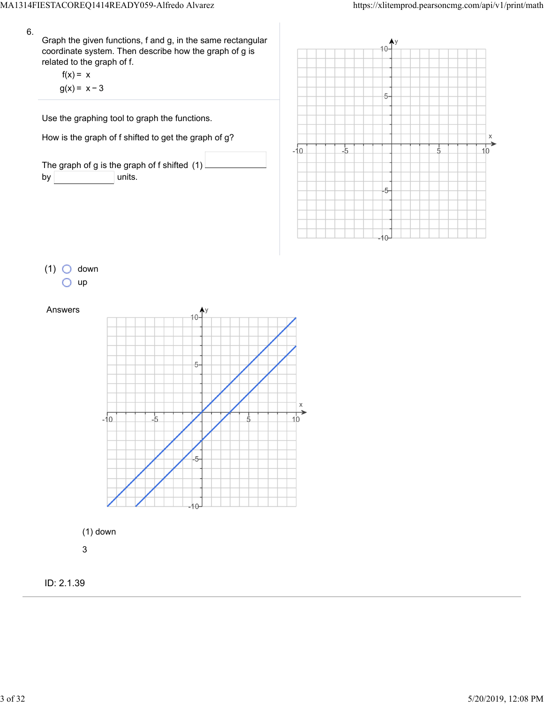$\frac{1}{5}$ 

 $\times$  $\overrightarrow{10}$ 

 $5-$ 

 $-5$ 

 $-5$ 



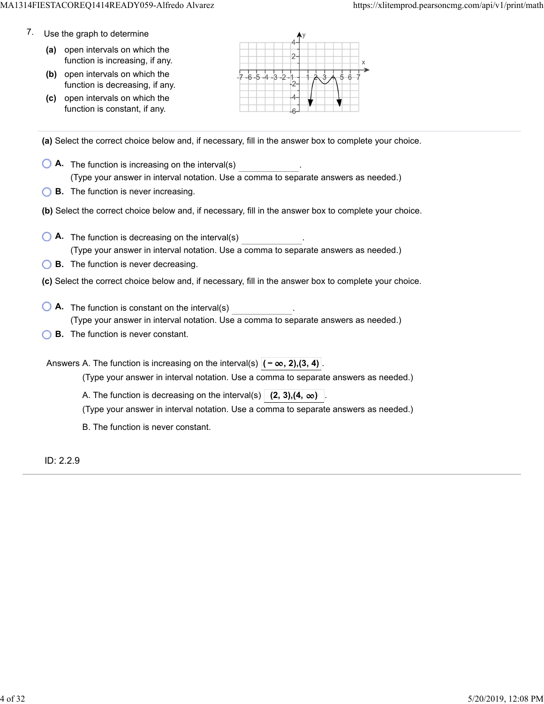- 7. Use the graph to determine
	- **(a)** open intervals on which the function is increasing, if any.
	- **(b)** open intervals on which the function is decreasing, if any.
	- **(c)** open intervals on which the function is constant, if any.



**(a)** Select the correct choice below and, if necessary, fill in the answer box to complete your choice.

- **A.** The function is increasing on the interval(s) . (Type your answer in interval notation. Use a comma to separate answers as needed.)
- **B.** The function is never increasing.
- **(b)** Select the correct choice below and, if necessary, fill in the answer box to complete your choice.
- **A.** The function is decreasing on the interval(s) . (Type your answer in interval notation. Use a comma to separate answers as needed.)
- **B.** The function is never decreasing.
- **(c)** Select the correct choice below and, if necessary, fill in the answer box to complete your choice.
- **A**. The function is constant on the interval(s) **A**. (Type your answer in interval notation. Use a comma to separate answers as needed.)
- **B.** The function is never constant.

Answers A. The function is increasing on the interval(s)  $|(-\infty, 2), (3, 4)|$ 

(Type your answer in interval notation. Use a comma to separate answers as needed.)

A. The function is decreasing on the interval(s)  $(2, 3)$ ,  $(4, \infty)$ 

(Type your answer in interval notation. Use a comma to separate answers as needed.)

B. The function is never constant.

ID: 2.2.9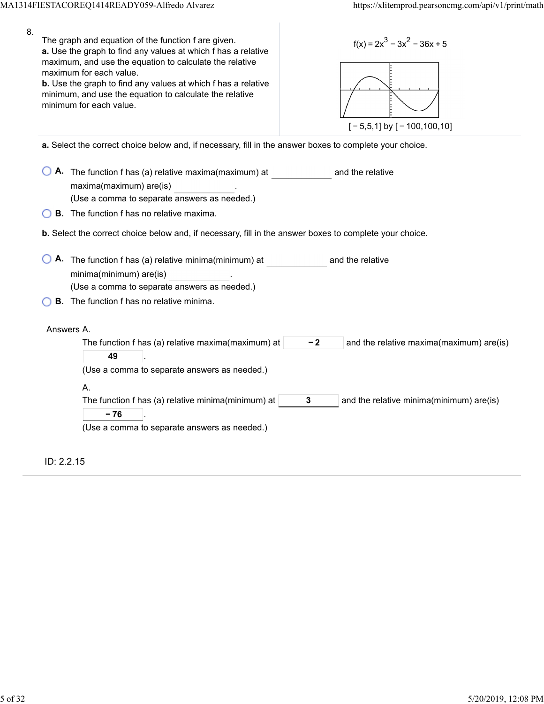| 8. | The graph and equation of the function f are given.<br>$f(x) = 2x^3 - 3x^2 - 36x + 5$<br>a. Use the graph to find any values at which f has a relative<br>maximum, and use the equation to calculate the relative<br>maximum for each value.<br>b. Use the graph to find any values at which f has a relative<br>minimum, and use the equation to calculate the relative<br>minimum for each value.<br>$[-5,5,1]$ by $[-100,100,10]$ |
|----|--------------------------------------------------------------------------------------------------------------------------------------------------------------------------------------------------------------------------------------------------------------------------------------------------------------------------------------------------------------------------------------------------------------------------------------|
|    | a. Select the correct choice below and, if necessary, fill in the answer boxes to complete your choice.                                                                                                                                                                                                                                                                                                                              |
|    | A. The function f has (a) relative maxima(maximum) at<br>and the relative<br>maxima(maximum) are(is)<br>(Use a comma to separate answers as needed.)                                                                                                                                                                                                                                                                                 |
|    | <b>B.</b> The function f has no relative maxima.                                                                                                                                                                                                                                                                                                                                                                                     |
|    | b. Select the correct choice below and, if necessary, fill in the answer boxes to complete your choice.                                                                                                                                                                                                                                                                                                                              |
|    | A. The function f has (a) relative minima(minimum) at<br>and the relative<br>minima(minimum) are(is)<br>(Use a comma to separate answers as needed.)<br><b>B.</b> The function f has no relative minima.                                                                                                                                                                                                                             |
|    |                                                                                                                                                                                                                                                                                                                                                                                                                                      |
|    | Answers A.<br>The function f has (a) relative maxima(maximum) at<br>$-2$<br>and the relative maxima(maximum) are(is)<br>49<br>(Use a comma to separate answers as needed.)                                                                                                                                                                                                                                                           |
|    | А.<br>The function f has (a) relative minima(minimum) at<br>3<br>and the relative minima(minimum) are(is)<br>$-76$<br>(Use a comma to separate answers as needed.)                                                                                                                                                                                                                                                                   |
|    | ID: 2.2.15                                                                                                                                                                                                                                                                                                                                                                                                                           |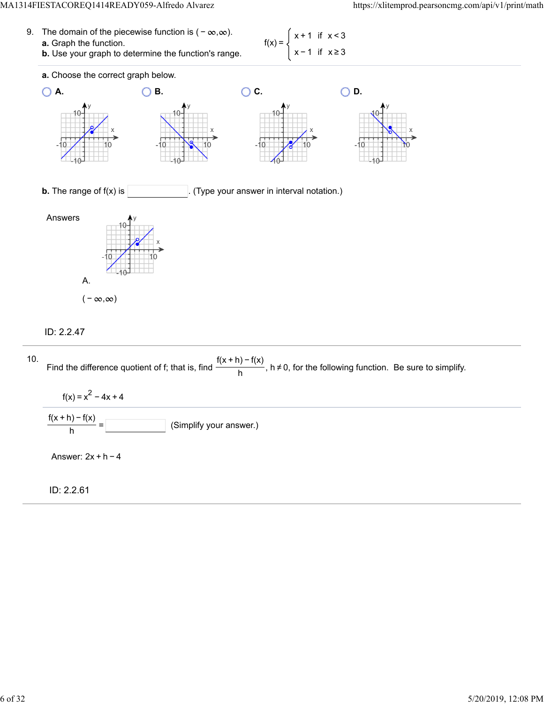#### MA1314FIESTACOREQ1414READY059-Alfredo Alvarez https://xlitemprod.pearsoncmg.com/api/v1/print/math

| 9. The domain of the piecewise function is $(-\infty,\infty)$ .<br><b>a.</b> Graph the function. | $f(x) = \begin{cases} x + 1 & \text{if } x < 3 \end{cases}$ |  |
|--------------------------------------------------------------------------------------------------|-------------------------------------------------------------|--|
| <b>b.</b> Use your graph to determine the function's range.                                      | $\begin{bmatrix} x \\ y \end{bmatrix}$ x - 1 if $x \ge 3$   |  |



## ID: 2.2.47

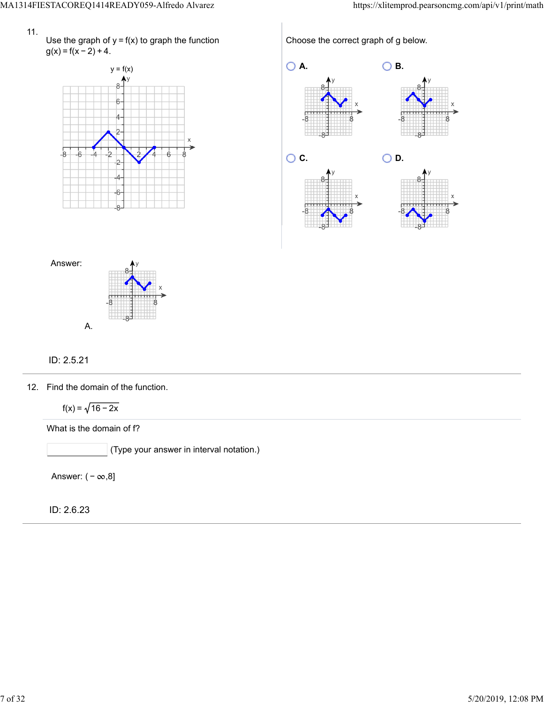



Choose the correct graph of g below. **O A.** ○ **B.** ٢. **O. C.** ○ **D.** 



# ID: 2.5.21

12. Find the domain of the function.

 $f(x) = \sqrt{16 - 2x}$ 

What is the domain of f?

(Type your answer in interval notation.)

Answer:  $(-\infty, 8]$ 

ID: 2.6.23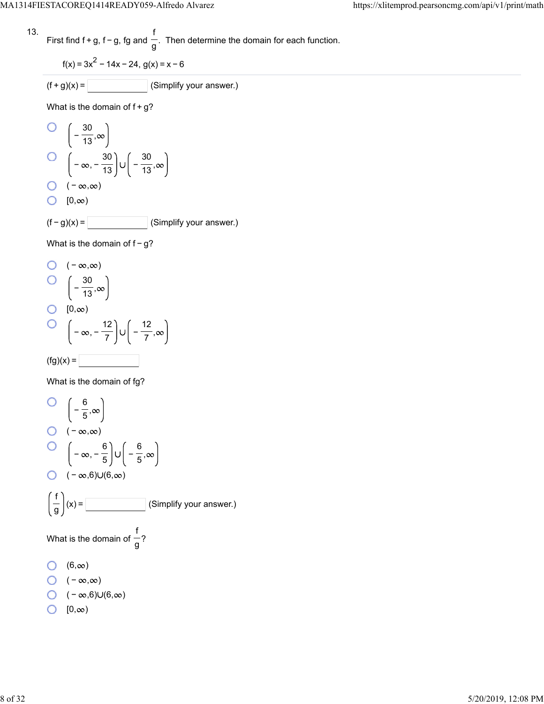13. First find 
$$
f + g
$$
,  $f - g$ ,  $fg$  and  $\frac{f}{g}$ . Then determine the domain for each function.

$$
f(x) = 3x^2 - 14x - 24, g(x) = x - 6
$$

$$
(f+g)(x) = \boxed{\qquad \qquad} \text{(Simplify your answer.)}
$$

What is the domain of  $f+g$ ?

$$
O\left(-\frac{30}{13}, \infty\right)
$$
  
\n
$$
O\left(-\infty, -\frac{30}{13}\right) \cup \left(-\frac{30}{13}, \infty\right)
$$
  
\n
$$
O\left(-\infty, \infty\right)
$$
  
\n
$$
O\left(10, \infty\right)
$$
  
\n(f-g)(x) = \_\_\_\_\_\_ (Simplify your answer.)

What is the domain of  $f-g$ ?

O 
$$
(-\infty, \infty)
$$
  
\nO  $\left(-\frac{30}{13}, \infty\right)$   
\nO  $[0, \infty)$   
\nO  $\left(-\infty, -\frac{12}{7}\right) \cup \left(-\frac{12}{7}, \infty\right)$   
\n(fg)(x) =

What is the domain of fg?

O 
$$
\left(-\frac{6}{5}, \infty\right)
$$
  
O  $\left(-\infty, \infty\right)$   
O  $\left(-\infty, -\frac{6}{5}\right) \cup \left(-\frac{6}{5}, \infty\right)$   
O  $\left(-\infty, 6\right) \cup (6, \infty)$   
 $\left(\frac{f}{g}\right)(x) =$  (Simplify your answer.)  
What is the domain of  $\frac{f}{g}$ ?  
O  $(6, \infty)$   
O  $\left(-\infty, \infty\right)$   
O  $\left(-\infty, 6\right) \cup (6, \infty)$   
O  $\left(0, \infty\right)$   
O  $\left(0, \infty\right)$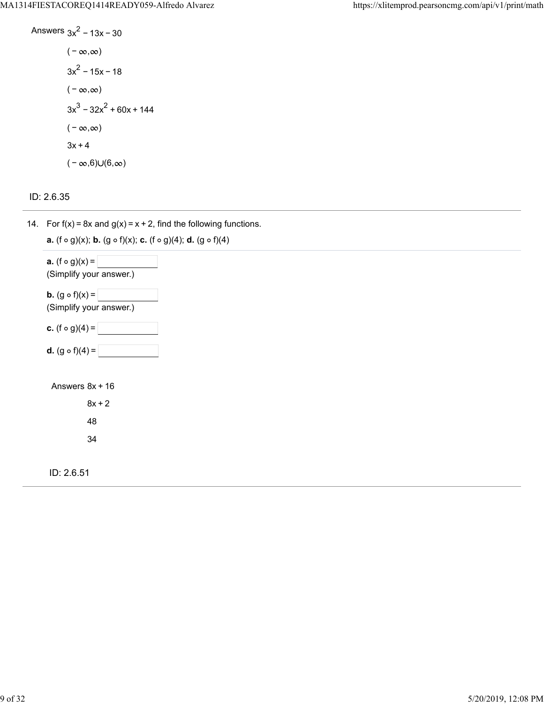Answers 
$$
3x^2 - 13x - 30
$$
  
\n $(-\infty, \infty)$   
\n $3x^2 - 15x - 18$   
\n $(-\infty, \infty)$   
\n $3x^3 - 32x^2 + 60x + 144$   
\n $(-\infty, \infty)$   
\n $3x + 4$   
\n $(-\infty, 6) \cup (6, \infty)$ 

ID: 2.6.35

14. For  $f(x) = 8x$  and  $g(x) = x + 2$ , find the following functions.

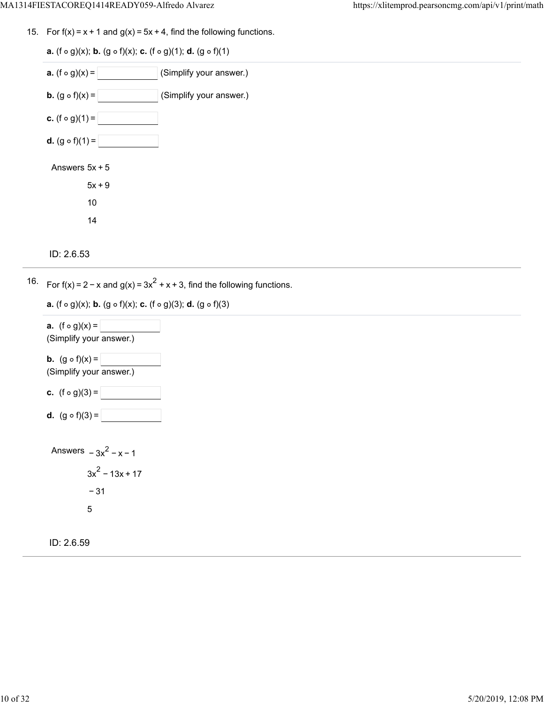15. For  $f(x) = x + 1$  and  $g(x) = 5x + 4$ , find the following functions.

| <b>a.</b> (f $\circ$ g)(x); <b>b.</b> (g $\circ$ f)(x); <b>c.</b> (f $\circ$ g)(1); <b>d.</b> (g $\circ$ f)(1) |
|----------------------------------------------------------------------------------------------------------------|
| <b>a.</b> $(f \circ g)(x) =  $<br>(Simplify your answer.)                                                      |
| <b>b.</b> $(g \circ f)(x) =$<br>(Simplify your answer.)                                                        |
| <b>c.</b> $(f \circ g)(1) =$                                                                                   |
| <b>d.</b> $(g \circ f)(1) =$                                                                                   |
| Answers $5x + 5$                                                                                               |
| $5x + 9$                                                                                                       |
| 10                                                                                                             |
| 14                                                                                                             |
|                                                                                                                |

```
ID: 2.6.53
```
16. For  $f(x) = 2 - x$  and  $g(x) = 3x^2 + x + 3$ , find the following functions.

**a.**  $(f \circ g)(x)$ ; **b.**  $(g \circ f)(x)$ ; **c.**  $(f \circ g)(3)$ ; **d.**  $(g \circ f)(3)$ 



ID: 2.6.59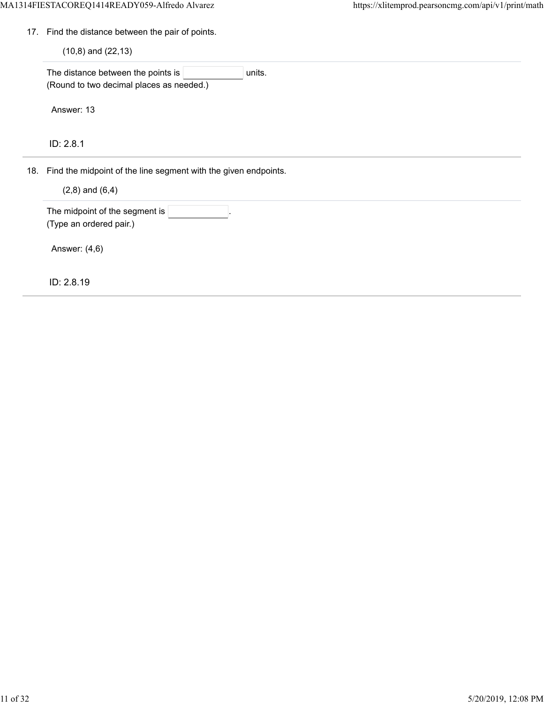17. Find the distance between the pair of points.

 $(10, 8)$  and  $(22, 13)$ 

The distance between the points is  $|$  units. (Round to two decimal places as needed.)

Answer: 13

ID: 2.8.1

18. Find the midpoint of the line segment with the given endpoints.

 $(2, 8)$  and  $(6, 4)$ 

The midpoint of the segment is (Type an ordered pair.)

Answer: (4,6)

ID: 2.8.19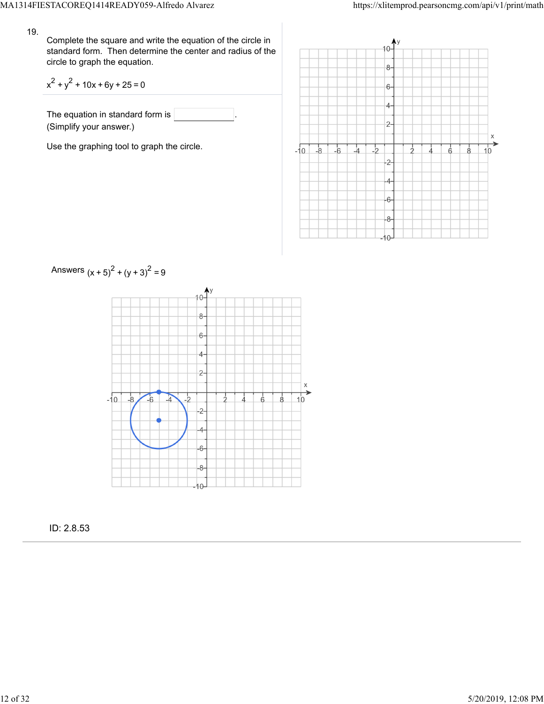Complete the square and write the equation of the circle in standard form. Then determine the center and radius of the circle to graph the equation.

$$
x^2 + y^2 + 10x + 6y + 25 = 0
$$

The equation in standard form is (Simplify your answer.)

Use the graphing tool to graph the circle.





ID: 2.8.53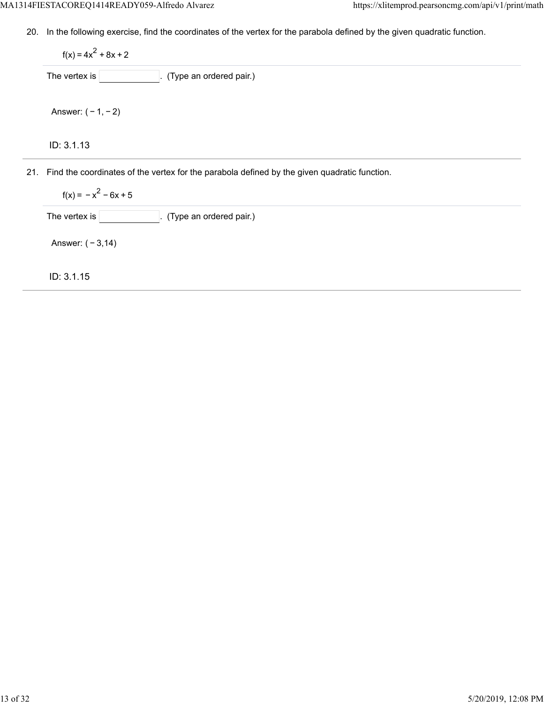20. In the following exercise, find the coordinates of the vertex for the parabola defined by the given quadratic function.

ID: 3.1.13  $f(x) = 4x^2 + 8x + 2$ The vertex is  $\boxed{\phantom{a}}$ . (Type an ordered pair.) Answer: ( − 1, − 2)

21. Find the coordinates of the vertex for the parabola defined by the given quadratic function.

 $f(x) = -x^2 - 6x + 5$ 

The vertex is  $\boxed{\qquad \qquad}$ . (Type an ordered pair.)

Answer: ( − 3,14)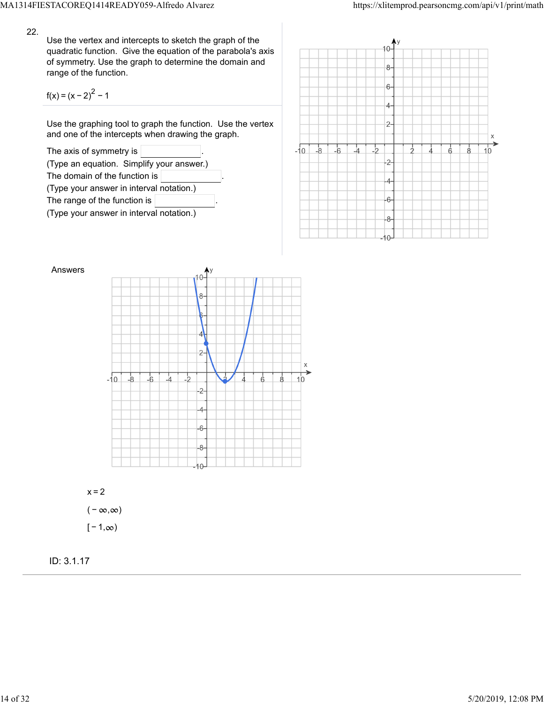Use the vertex and intercepts to sketch the graph of the quadratic function. Give the equation of the parabola's axis of symmetry. Use the graph to determine the domain and range of the function.

$$
f(x) = (x - 2)^{2} - 1
$$

Use the graphing tool to graph the function. Use the vertex and one of the intercepts when drawing the graph.









 $[-1, \infty)$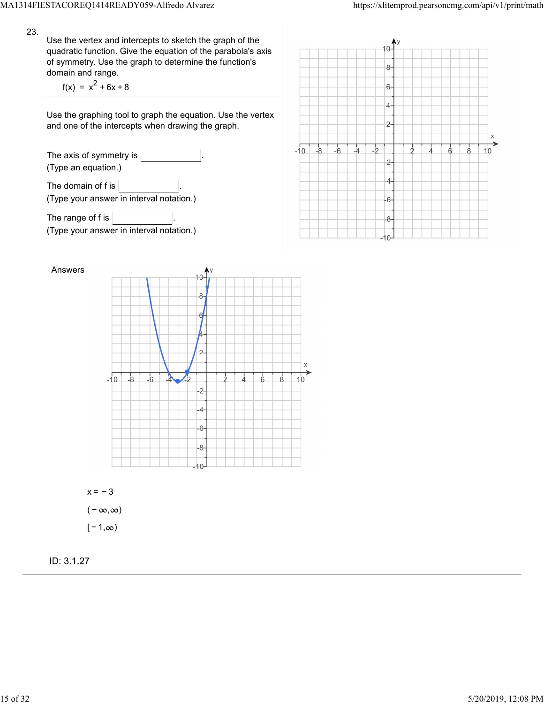Use the vertex and intercepts to sketch the graph of the quadratic function. Give the equation of the parabola's axis of symmetry. Use the graph to determine the function's domain and range.

 $f(x) = x^2 + 6x + 8$ 

Use the graphing tool to graph the equation. Use the vertex and one of the intercepts when drawing the graph.

The axis of symmetry is (Type an equation.) The domain of f is  $\vert$ (Type your answer in interval notation.)

The range of f is  $\sqrt{ }$ (Type your answer in interval notation.)





 $x = -3$  $(-\infty, \infty)$  $[-1, \infty)$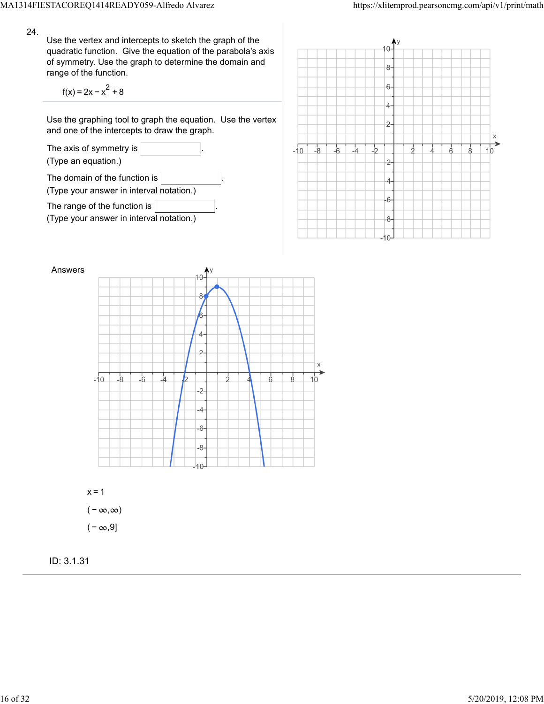Use the vertex and intercepts to sketch the graph of the quadratic function. Give the equation of the parabola's axis of symmetry. Use the graph to determine the domain and range of the function.

$$
f(x) = 2x - x^2 + 8
$$

Use the graphing tool to graph the equation. Use the vertex and one of the intercepts to draw the graph.







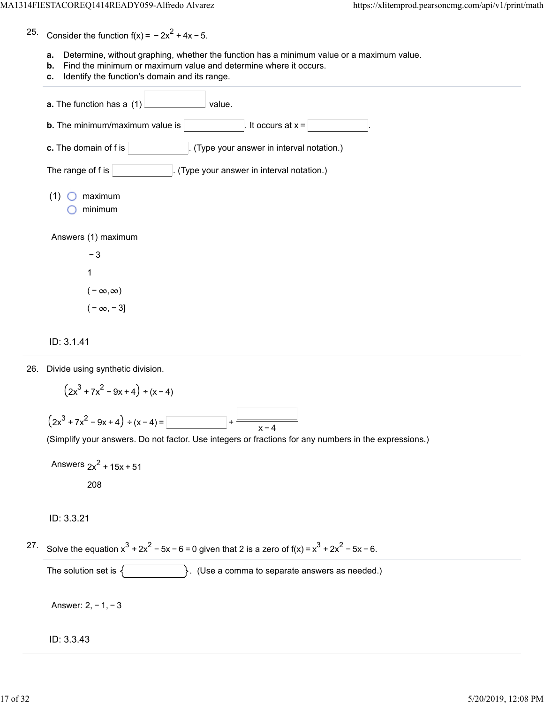25. Consider the function  $f(x) = -2x^2 + 4x - 5$ .

- **a.** Determine, without graphing, whether the function has a minimum value or a maximum value.
- **b.** Find the minimum or maximum value and determine where it occurs.
- **c.** Identify the function's domain and its range.

| a. The function has a (1)<br>value.                               |
|-------------------------------------------------------------------|
| <b>b.</b> The minimum/maximum value is<br>It occurs at $x =$      |
| c. The domain of f is<br>(Type your answer in interval notation.) |
| The range of f is<br>. (Type your answer in interval notation.)   |
| (1)<br>maximum<br>minimum                                         |
| Answers (1) maximum                                               |
| $-3$                                                              |
| 1                                                                 |
| $(-\infty,\infty)$                                                |
| $(-\infty, -3]$                                                   |

#### ID: 3.1.41

26. Divide using synthetic division.

$$
(2x3 + 7x2 - 9x + 4) \div (x - 4)
$$
  

$$
(2x3 + 7x2 - 9x + 4) \div (x - 4) =
$$
  

$$
(\text{Simplify your answers. Do not factor. Use integers or fractions for any numbers in the expressions.)}
$$

```
Answers 2x^2 + 15x + 51208
```
### ID: 3.3.21

<sup>27.</sup> Solve the equation  $x^3 + 2x^2 - 5x - 6 = 0$  given that 2 is a zero of f(x) =  $x^3 + 2x^2 - 5x - 6$ .

The solution set is  $\{\}$  . (Use a comma to separate answers as needed.)

Answer: 2, − 1, − 3

#### ID: 3.3.43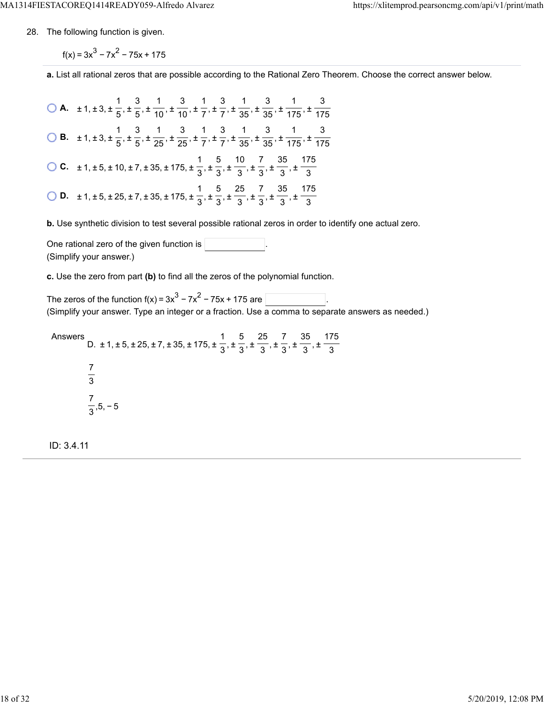28. The following function is given.

 $f(x) = 3x^{3} - 7x^{2} - 75x + 175$ 

**a.** List all rational zeros that are possible according to the Rational Zero Theorem. Choose the correct answer below.

**A.**  $\pm 1, \pm 3, \pm \frac{1}{5}, \pm \frac{3}{5}, \pm \frac{1}{40}, \pm \frac{3}{7}, \pm \frac{1}{7}, \pm \frac{3}{75}, \pm \frac{1}{25}, \pm \frac{3}{75}, \pm \frac{1}{75}$  **B.**  $\pm 1, \pm 3, \pm \frac{1}{5}, \pm \frac{3}{65}, \pm \frac{1}{25}, \pm \frac{3}{75}, \pm \frac{1}{75}, \pm \frac{3}{25}, \pm \frac{1}{25}, \pm \frac{3}{25}, \pm \frac{1}{25}$  **C.**  $\pm 1, \pm 5, \pm 10, \pm 7, \pm 35, \pm 175, \pm \frac{1}{2}, \pm \frac{5}{2}, \pm \frac{10}{2}, \pm \frac{7}{2}, \pm \frac{35}{2}, \pm \frac{10}{2}$  **D.**  $\pm 1, \pm 5, \pm 25, \pm 7, \pm 35, \pm 175, \pm \frac{1}{2}, \pm \frac{5}{2}, \pm \frac{25}{2}, \pm \frac{7}{2}, \pm \frac{35}{2}, \pm \frac{1}{2}$  

**b.** Use synthetic division to test several possible rational zeros in order to identify one actual zero.

One rational zero of the given function is . (Simplify your answer.)

**c.** Use the zero from part **(b)** to find all the zeros of the polynomial function.

The zeros of the function f(x) =  $3x^3 - 7x^2 - 75x + 175$  are  $\overline{\phantom{a}}$ (Simplify your answer. Type an integer or a fraction. Use a comma to separate answers as needed.)

Answers D.  $\pm$  1,  $\pm$  5,  $\pm$  25,  $\pm$  7,  $\pm$  35,  $\pm$  175,  $\pm$   $\frac{1}{2}$ ,  $\pm$   $\frac{1}{2}$ ,  $\pm$   $\frac{1}{2}$ ,  $\pm$   $\frac{1}{2}$ ,  $\pm$  ,5, − 5 

ID: 3.4.11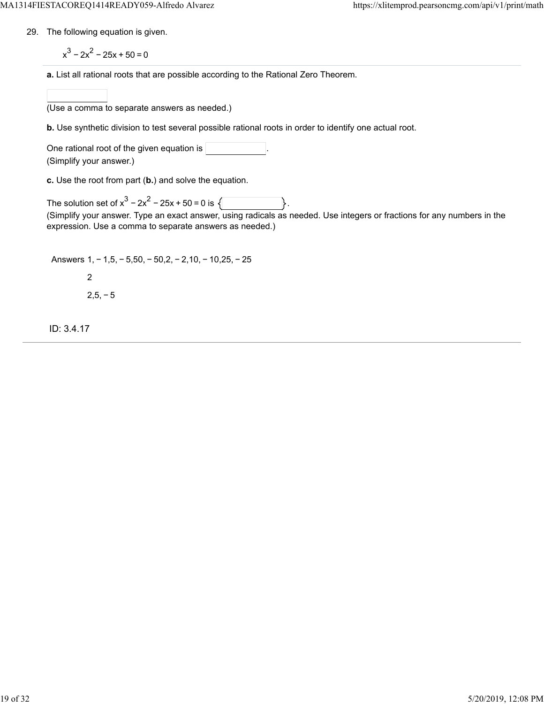29. The following equation is given.

 $x^3 - 2x^2 - 25x + 50 = 0$ 

**a.** List all rational roots that are possible according to the Rational Zero Theorem.

(Use a comma to separate answers as needed.)

**b.** Use synthetic division to test several possible rational roots in order to identify one actual root.

One rational root of the given equation is (Simplify your answer.)

**c.** Use the root from part (**b.**) and solve the equation.

The solution set of  $x^3 - 2x^2 - 25x + 50 = 0$  is  $\{\}$ (Simplify your answer. Type an exact answer, using radicals as needed. Use integers or fractions for any numbers in the expression. Use a comma to separate answers as needed.)

Answers 1, − 1,5, − 5,50, − 50,2, − 2,10, − 10,25, − 25 2  $2,5,-5$ 

ID: 3.4.17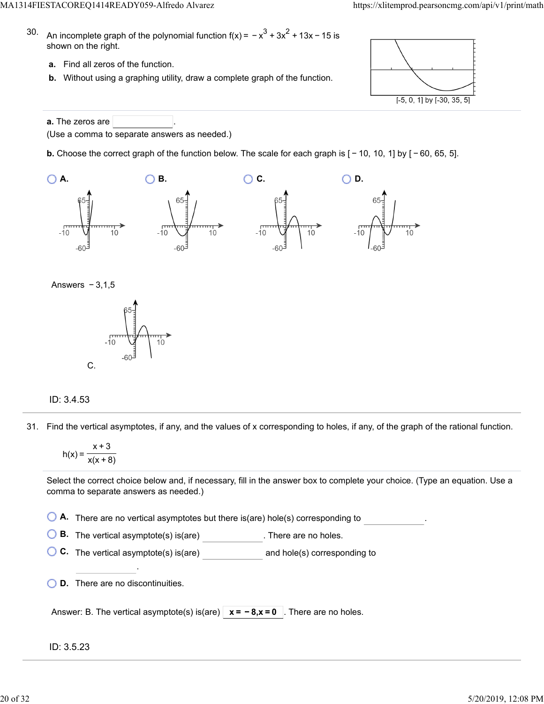- 30. An incomplete graph of the polynomial function f(x) =  $-x^3 + 3x^2 + 13x - 15$  is shown on the right.
	- **a.** Find all zeros of the function.
	- **b.** Without using a graphing utility, draw a complete graph of the function.



**a.** The zeros are (Use a comma to separate answers as needed.)

**b.** Choose the correct graph of the function below. The scale for each graph is  $[-10, 10, 1]$  by  $[-60, 65, 5]$ .







## ID: 3.4.53

31. Find the vertical asymptotes, if any, and the values of x corresponding to holes, if any, of the graph of the rational function.

$$
h(x) = \frac{x+3}{x(x+8)}
$$

Select the correct choice below and, if necessary, fill in the answer box to complete your choice. (Type an equation. Use a comma to separate answers as needed.)

**A.** There are no vertical asymptotes but there is(are) hole(s) corresponding to .

**B.** The vertical asymptote(s) is(are) **B.** There are no holes.

**C.** The vertical asymptote(s) is(are) **and hole(s)** corresponding to

**D.** There are no discontinuities.

.

| Answer: B. The vertical asymptote(s) is(are) $x = -8$ , $x = 0$ . There are no holes. |  |  |
|---------------------------------------------------------------------------------------|--|--|
|---------------------------------------------------------------------------------------|--|--|

## ID: 3.5.23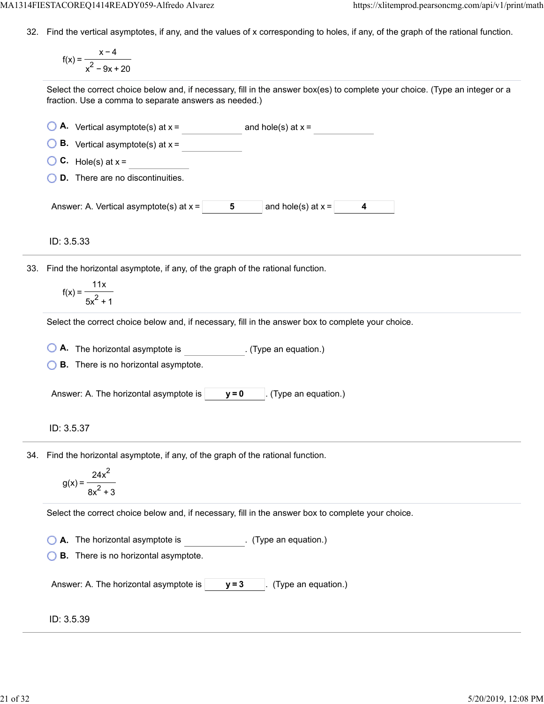32. Find the vertical asymptotes, if any, and the values of x corresponding to holes, if any, of the graph of the rational function.

$$
f(x) = \frac{x-4}{x^2 - 9x + 20}
$$

Select the correct choice below and, if necessary, fill in the answer box(es) to complete your choice. (Type an integer or a fraction. Use a comma to separate answers as needed.)

| $\bigcirc$ A. Vertical asymptote(s) at x = |   | and hole(s) at $x =$ |  |
|--------------------------------------------|---|----------------------|--|
| $\bigcirc$ B. Vertical asymptote(s) at x = |   |                      |  |
| $\bigcirc$ C. Hole(s) at x =               |   |                      |  |
| <b>D.</b> There are no discontinuities.    |   |                      |  |
|                                            |   |                      |  |
| Answer: A. Vertical asymptote(s) at $x =$  | 5 | and hole(s) at $x =$ |  |

ID: 3.5.33

33. Find the horizontal asymptote, if any, of the graph of the rational function.

$$
f(x) = \frac{11x}{5x^2 + 1}
$$

Select the correct choice below and, if necessary, fill in the answer box to complete your choice.

**A.** The horizontal asymptote is ... (Type an equation.)

**B.** There is no horizontal asymptote.

Answer: A. The horizontal asymptote is  $\vert$   $\vert$  **y** = 0  $\vert$  . (Type an equation.)

## ID: 3.5.37

34. Find the horizontal asymptote, if any, of the graph of the rational function.

$$
g(x) = \frac{24x^2}{8x^2 + 3}
$$

Select the correct choice below and, if necessary, fill in the answer box to complete your choice.

**A.** The horizontal asymptote is . (Type an equation.)

**B.** There is no horizontal asymptote.

Answer: A. The horizontal asymptote is  $|$   $y=3$   $|$ . (Type an equation.)

### ID: 3.5.39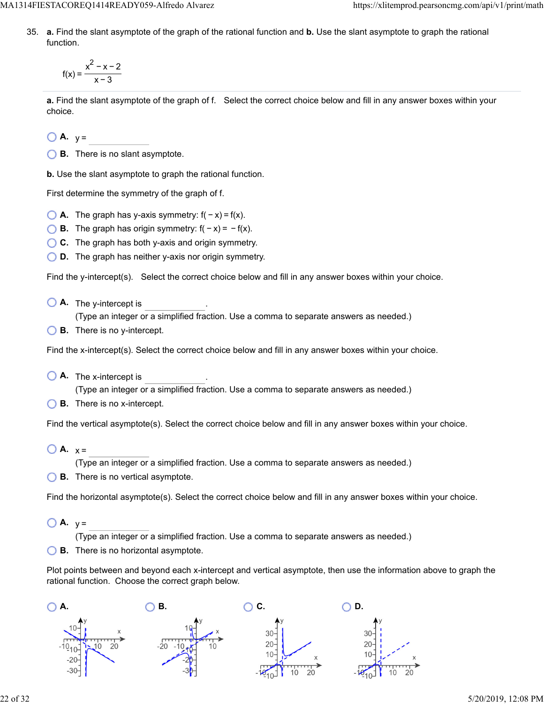MA1314FIESTACOREQ1414READY059-Alfredo Alvarez https://xlitemprod.pearsoncmg.com/api/v1/print/math

35. **a.** Find the slant asymptote of the graph of the rational function and **b.** Use the slant asymptote to graph the rational function.

$$
f(x) = \frac{x^2 - x - 2}{x - 3}
$$

**a.** Find the slant asymptote of the graph of f. Select the correct choice below and fill in any answer boxes within your choice.

 $\bigcirc$  **A.**  $y =$ 

**B.** There is no slant asymptote.

**b.** Use the slant asymptote to graph the rational function.

First determine the symmetry of the graph of f.

- $\bigcirc$  **A.** The graph has y-axis symmetry:  $f(-x) = f(x)$ .
- **B.** The graph has origin symmetry:  $f(-x) = -f(x)$ .
- **C.** The graph has both y-axis and origin symmetry.
- **D.** The graph has neither y-axis nor origin symmetry.

Find the y-intercept(s). Select the correct choice below and fill in any answer boxes within your choice.

**A.** The y-intercept is .

(Type an integer or a simplified fraction. Use a comma to separate answers as needed.)

**B.** There is no y-intercept.

Find the x-intercept(s). Select the correct choice below and fill in any answer boxes within your choice.

**A.** The x-intercept is .

(Type an integer or a simplified fraction. Use a comma to separate answers as needed.)

**B.** There is no x-intercept.

Find the vertical asymptote(s). Select the correct choice below and fill in any answer boxes within your choice.

 $\bigcirc$  **A.**  $x =$ 

(Type an integer or a simplified fraction. Use a comma to separate answers as needed.)

**B.** There is no vertical asymptote.

Find the horizontal asymptote(s). Select the correct choice below and fill in any answer boxes within your choice.

 $\bigcirc$  **A.**  $v =$ 

(Type an integer or a simplified fraction. Use a comma to separate answers as needed.)

**B.** There is no horizontal asymptote.

Plot points between and beyond each x-intercept and vertical asymptote, then use the information above to graph the rational function. Choose the correct graph below.

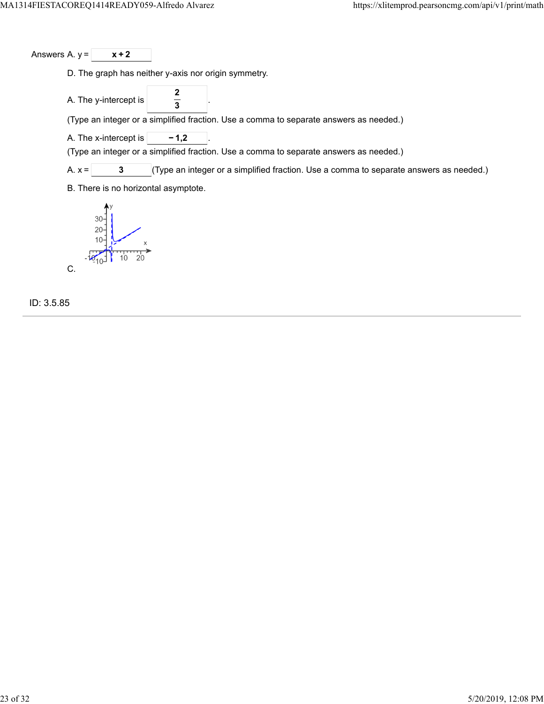Answers A.  $y = \sqrt{x+2}$ 

D. The graph has neither y-axis nor origin symmetry.

A. The y-intercept is **2 3**

(Type an integer or a simplified fraction. Use a comma to separate answers as needed.)

A. The x-intercept is  $\boxed{\phantom{000}-1,2}$ 

(Type an integer or a simplified fraction. Use a comma to separate answers as needed.)

A.  $x =$  **3** (Type an integer or a simplified fraction. Use a comma to separate answers as needed.)

B. There is no horizontal asymptote.



ID: 3.5.85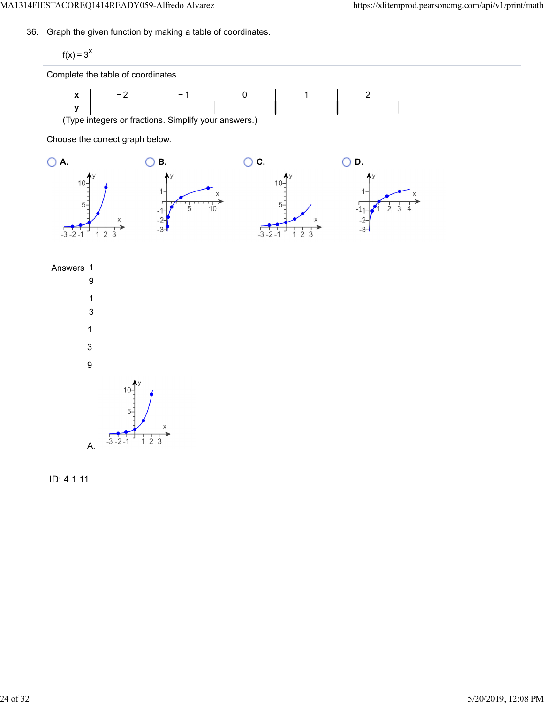36. Graph the given function by making a table of coordinates.

 $f(x) = 3^x$ 

Complete the table of coordinates.

| (Type integers or fractions. Simplify your answers.) |  |  |  |  |  |  |
|------------------------------------------------------|--|--|--|--|--|--|

Choose the correct graph below.







ID: 4.1.11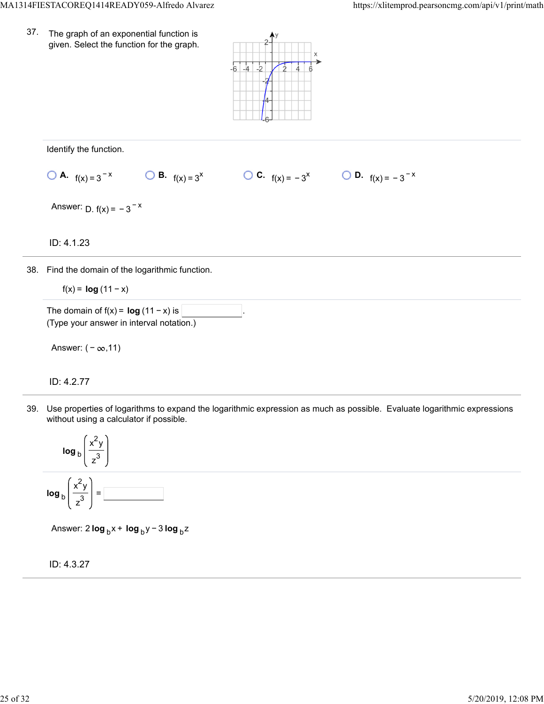37. The graph of an exponential function is given. Select the function for the graph.



Identify the function.

**0 A.** 
$$
f(x) = 3^{-x}
$$
   
**0 B.**  $f(x) = 3^x$    
**0 C.**  $f(x) = -3^x$    
**0 D.**  $f(x) = -3^{-x}$ 

Answer:  $D. f(x) = -3^{-x}$ 

ID: 4.1.23

38. Find the domain of the logarithmic function.

f(x) = **log**  $(11 - x)$ 

The domain of  $f(x) = \log(11 - x)$  is (Type your answer in interval notation.)

Answer:  $(-\infty, 11)$ 

ID: 4.2.77

39. Use properties of logarithms to expand the logarithmic expression as much as possible. Evaluate logarithmic expressions without using a calculator if possible.



Answer: 2 **log** <sub>b</sub> x + **log** <sub>b</sub> y − 3 **log** <sub>b</sub> z

ID: 4.3.27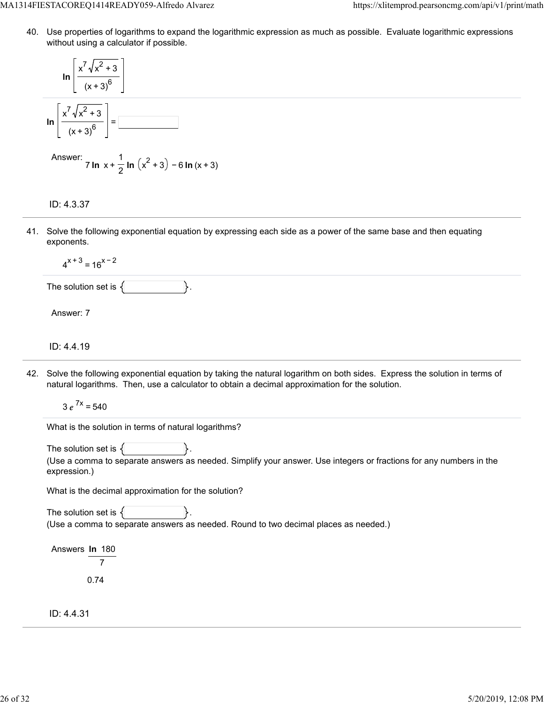40. Use properties of logarithms to expand the logarithmic expression as much as possible. Evaluate logarithmic expressions without using a calculator if possible.

$$
\ln\left[\frac{x^7\sqrt{x^2+3}}{(x+3)^6}\right]
$$

$$
\ln\left[\frac{x^7\sqrt{x^2+3}}{(x+3)^6}\right]=\boxed{\frac{3}{2}}
$$

Answer: 
$$
7 \ln x + \frac{1}{2} \ln (x^2 + 3) - 6 \ln (x + 3)
$$

## ID: 4.3.37

41. Solve the following exponential equation by expressing each side as a power of the same base and then equating exponents.

 $4^{x+3}$  = 16<sup>x-2</sup>

The solution set is  $\{\vert \$ .

Answer: 7

ID: 4.4.19

42. Solve the following exponential equation by taking the natural logarithm on both sides. Express the solution in terms of natural logarithms. Then, use a calculator to obtain a decimal approximation for the solution.

 $3e^{7x} = 540$ 

What is the solution in terms of natural logarithms?

The solution set is  $\{$ 

(Use a comma to separate answers as needed. Simplify your answer. Use integers or fractions for any numbers in the expression.)

What is the decimal approximation for the solution?

The solution set is  $\{$ (Use a comma to separate answers as needed. Round to two decimal places as needed.)

Answers **ln** 180 7 0.74

ID: 4.4.31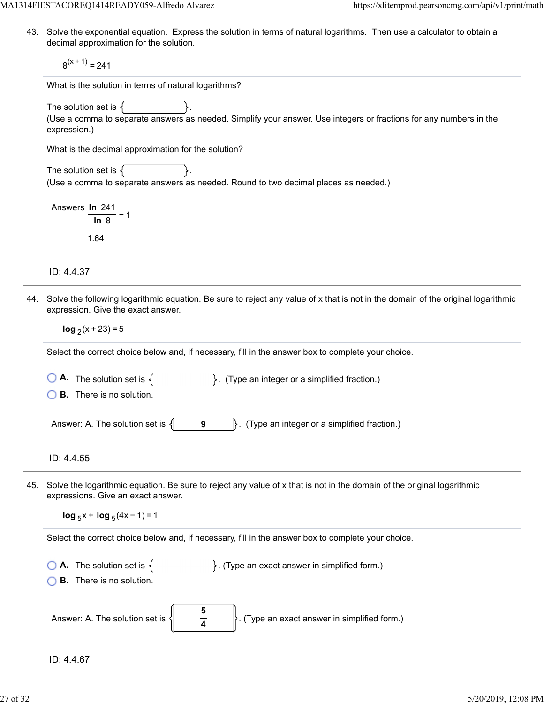MA1314FIESTACOREQ1414READY059-Alfredo Alvarez https://xlitemprod.pearsoncmg.com/api/v1/print/math

43. Solve the exponential equation. Express the solution in terms of natural logarithms. Then use a calculator to obtain a decimal approximation for the solution.

 $8<sup>(x + 1)</sup> = 241$ 

What is the solution in terms of natural logarithms?

The solution set is  $\{$ 

(Use a comma to separate answers as needed. Simplify your answer. Use integers or fractions for any numbers in the expression.)

What is the decimal approximation for the solution?

The solution set is  $\{$ (Use a comma to separate answers as needed. Round to two decimal places as needed.)

Answers **ln** 241 − 1 **ln** 8 1.64

ID: 4.4.37

44. Solve the following logarithmic equation. Be sure to reject any value of x that is not in the domain of the original logarithmic expression. Give the exact answer.

**log**  $(x + 23) = 5$ 

Select the correct choice below and, if necessary, fill in the answer box to complete your choice.

**A.** The solution set is  $\{$   $\}$ . (Type an integer or a simplified fraction.)

**B.** There is no solution.

Answer: A. The solution set is  $\{\ \$  **9**  $\}$ . (Type an integer or a simplified fraction.)

ID: 4.4.55

45. Solve the logarithmic equation. Be sure to reject any value of x that is not in the domain of the original logarithmic expressions. Give an exact answer.

 $log_5 x + log_5 (4x - 1) = 1$ 

Select the correct choice below and, if necessary, fill in the answer box to complete your choice.

**A.** The solution set is  $\{$   $\}$ . (Type an exact answer in simplified form.)

**B.** There is no solution.

| Answer: A. The solution set is $\langle  $ | $\mathcal{C}$ . (Type an exact answer in simplified form.) |
|--------------------------------------------|------------------------------------------------------------|
|                                            |                                                            |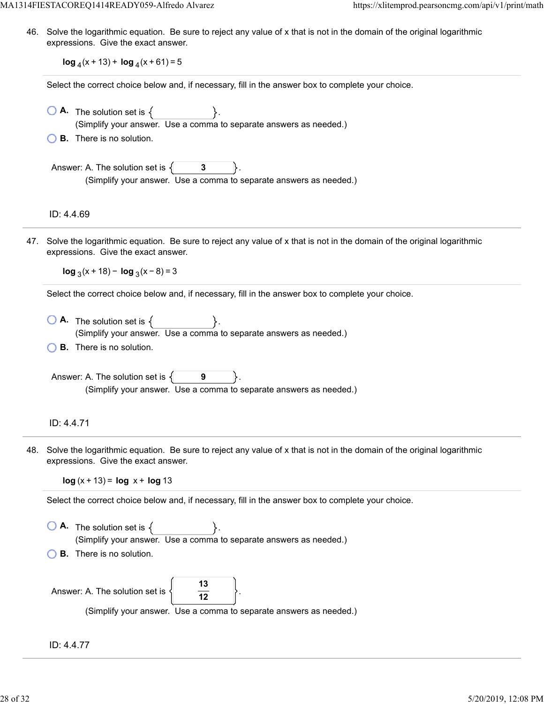MA1314FIESTACOREQ1414READY059-Alfredo Alvarez https://xlitemprod.pearsoncmg.com/api/v1/print/math

46. Solve the logarithmic equation. Be sure to reject any value of x that is not in the domain of the original logarithmic expressions. Give the exact answer.

**log**  $_4$ (x + 13) + **log**  $_4$ (x + 61) = 5

Select the correct choice below and, if necessary, fill in the answer box to complete your choice.

- $\bigcirc$  **A.** The solution set is  $\{$ (Simplify your answer. Use a comma to separate answers as needed.)
- **B.** There is no solution.

Answer: A. The solution set is  $\{$  **3** (Simplify your answer. Use a comma to separate answers as needed.)

ID: 4.4.69

47. Solve the logarithmic equation. Be sure to reject any value of x that is not in the domain of the original logarithmic expressions. Give the exact answer.

**log**  $_3(x + 18) - \log_3(x - 8) = 3$ 

Select the correct choice below and, if necessary, fill in the answer box to complete your choice.

 $\bigcirc$  **A.** The solution set is  $\{$ (Simplify your answer. Use a comma to separate answers as needed.) **B.** There is no solution.

Answer: A. The solution set is  $\{$ **9** (Simplify your answer. Use a comma to separate answers as needed.)

### ID: 4.4.71

48. Solve the logarithmic equation. Be sure to reject any value of x that is not in the domain of the original logarithmic expressions. Give the exact answer.

**log**  $(x + 13) = \log x + \log 13$ 

Select the correct choice below and, if necessary, fill in the answer box to complete your choice.

 $\bigcirc$  **A.** The solution set is  $\{$ (Simplify your answer. Use a comma to separate answers as needed.) **B.** There is no solution.

| Answer: A. The solution set is $\langle \rangle$ |                                                                    |
|--------------------------------------------------|--------------------------------------------------------------------|
|                                                  | (Simplify your answer. Use a comma to separate answers as needed.) |

ID: 4.4.77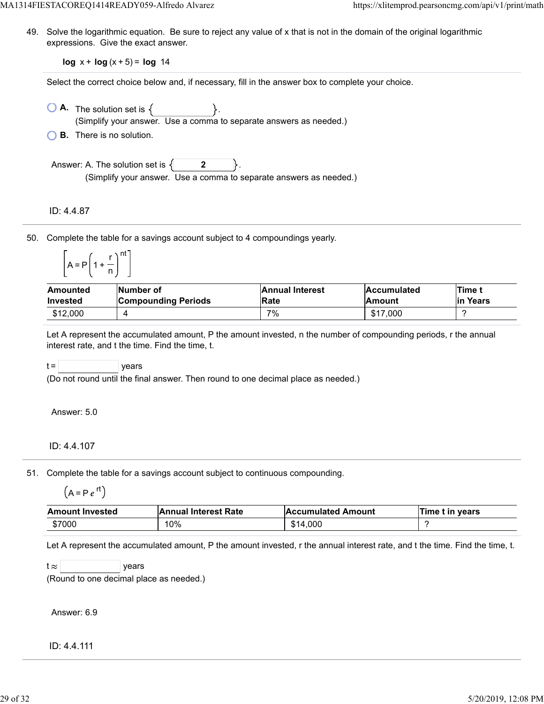49. Solve the logarithmic equation. Be sure to reject any value of x that is not in the domain of the original logarithmic expressions. Give the exact answer.

**log**  $x + \log(x + 5) = \log 14$ 

Select the correct choice below and, if necessary, fill in the answer box to complete your choice.

- $\bigcirc$  **A.** The solution set is  $\{ \}$ . (Simplify your answer. Use a comma to separate answers as needed.)
- **B.** There is no solution.

Answer: A. The solution set is  $\{$  **2** (Simplify your answer. Use a comma to separate answers as needed.)

ID: 4.4.87

50. Complete the table for a savings account subject to 4 compoundings yearly.

| Δ | $=$ P | $\ddotmark$<br>-1 | nt |
|---|-------|-------------------|----|
|   |       |                   |    |

| Amounted        | Number of                  | <b>Annual Interest</b> | <b>Accumulated</b> | <b>ITime t</b> |
|-----------------|----------------------------|------------------------|--------------------|----------------|
| <b>Invested</b> | <b>Compounding Periods</b> | <b>Rate</b>            | <b>Amount</b>      | lin Years      |
| \$12,000        |                            | 7%                     | \$17,000           |                |

Let A represent the accumulated amount, P the amount invested, n the number of compounding periods, r the annual interest rate, and t the time. Find the time, t.

 $t =$  | years

(Do not round until the final answer. Then round to one decimal place as needed.)

Answer: 5.0

ID: 4.4.107

51. Complete the table for a savings account subject to continuous compounding.

$$
(A = P e^{rt})
$$

| <b>Amount Invested</b> | <b>Annual Interest Rate</b> | <b>Accumulated Amount</b> | Time t in years |
|------------------------|-----------------------------|---------------------------|-----------------|
| \$7000                 | 10%                         | \$14,000                  |                 |

Let A represent the accumulated amount, P the amount invested, r the annual interest rate, and t the time. Find the time, t.

 $t \approx$  years

(Round to one decimal place as needed.)

Answer: 6.9

ID: 4.4.111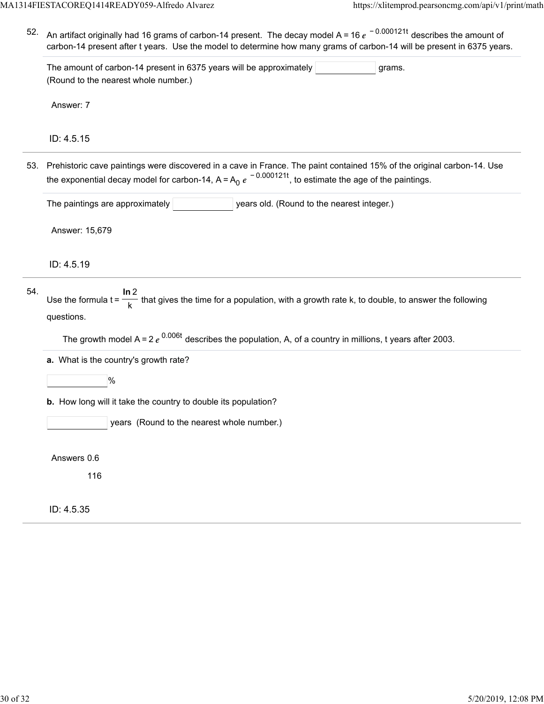52. An artifact originally had 16 grams of carbon-14 present. The decay model A = 16  $e^{\,\,-\,0.000121t}$  describes the amount of carbon-14 present after t years. Use the model to determine how many grams of carbon-14 will be present in 6375 years.

The amount of carbon-14 present in 6375 years will be approximately  $|$  standard grams. (Round to the nearest whole number.)

Answer: 7

ID: 4.5.15

53. Prehistoric cave paintings were discovered in a cave in France. The paint contained 15% of the original carbon-14. Use the exponential decay model for carbon-14, A=A<sub>0</sub>  $e^{\,-\,0.000121t}$ , to estimate the age of the paintings.

The paintings are approximately **The integent of the nearest integerent integer**.)

Answer: 15,679

ID: 4.5.19

| 54. |                                                                                                                                  |
|-----|----------------------------------------------------------------------------------------------------------------------------------|
|     | Use the formula $t = \frac{1}{k}$ that gives the time for a population, with a growth rate k, to double, to answer the following |
|     | questions.                                                                                                                       |

The growth model A = 2  $e^{0.006t}$  describes the population, A, of a country in millions, t years after 2003.

**a.** What is the country's growth rate?

 $|%$ 

**b.** How long will it take the country to double its population?

years (Round to the nearest whole number.)

Answers 0.6

116

ID: 4.5.35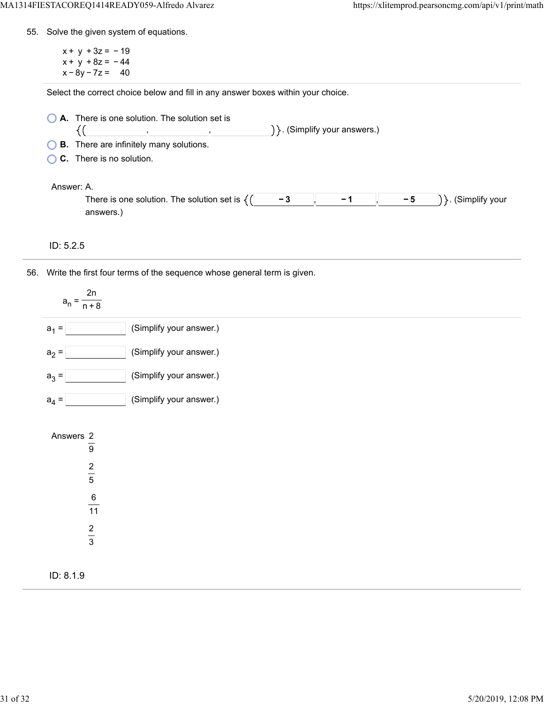55. Solve the given system of equations.

 $x + y + 3z = -19$  $x + y + 8z = -44$  $x - 8y - 7z = 40$ 

Select the correct choice below and fill in any answer boxes within your choice.

| A. There is one solution. The solution set is              |                                   |  |  |  |
|------------------------------------------------------------|-----------------------------------|--|--|--|
|                                                            | $\{\}$ . (Simplify your answers.) |  |  |  |
| $\bigcirc$ <b>B</b> . There are infinitely many solutions. |                                   |  |  |  |

**C.** There is no solution.

## Answer: A.

| .                                                |  |     |                          |
|--------------------------------------------------|--|-----|--------------------------|
| There is one solution<br>. The solution set is . |  | - - | .<br>v vour<br>sımnlıtv. |
| answers                                          |  |     |                          |

ID: 5.2.5

56. Write the first four terms of the sequence whose general term is given.

| 2n<br>$a_n =$<br>$\overline{n+8}$                                       |                         |
|-------------------------------------------------------------------------|-------------------------|
| $a_1 =$                                                                 | (Simplify your answer.) |
| $a_2 =$                                                                 | (Simplify your answer.) |
| $a_3 =$                                                                 | (Simplify your answer.) |
| $a_4 =$                                                                 | (Simplify your answer.) |
| Answers $\frac{2}{9}$<br>$\frac{2}{5}$<br>$\frac{6}{11}$<br>$rac{2}{3}$ |                         |
| ID: 8.1.9                                                               |                         |